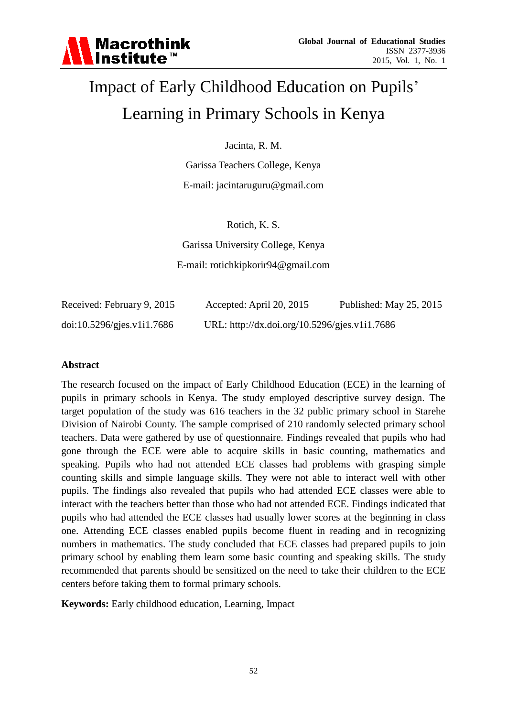

# Impact of Early Childhood Education on Pupils' Learning in Primary Schools in Kenya

Jacinta, R. M.

Garissa Teachers College, Kenya E-mail: jacintaruguru@gmail.com

Rotich, K. S. Garissa University College, Kenya E-mail: rotichkipkorir94@gmail.com

| Received: February 9, 2015 | Accepted: April 20, 2015                      | Published: May 25, 2015 |
|----------------------------|-----------------------------------------------|-------------------------|
| doi:10.5296/gjes.v1i1.7686 | URL: http://dx.doi.org/10.5296/gjes.v1i1.7686 |                         |

## **Abstract**

The research focused on the impact of Early Childhood Education (ECE) in the learning of pupils in primary schools in Kenya. The study employed descriptive survey design. The target population of the study was 616 teachers in the 32 public primary school in Starehe Division of Nairobi County. The sample comprised of 210 randomly selected primary school teachers. Data were gathered by use of questionnaire. Findings revealed that pupils who had gone through the ECE were able to acquire skills in basic counting, mathematics and speaking. Pupils who had not attended ECE classes had problems with grasping simple counting skills and simple language skills. They were not able to interact well with other pupils. The findings also revealed that pupils who had attended ECE classes were able to interact with the teachers better than those who had not attended ECE. Findings indicated that pupils who had attended the ECE classes had usually lower scores at the beginning in class one. Attending ECE classes enabled pupils become fluent in reading and in recognizing numbers in mathematics. The study concluded that ECE classes had prepared pupils to join primary school by enabling them learn some basic counting and speaking skills. The study recommended that parents should be sensitized on the need to take their children to the ECE centers before taking them to formal primary schools.

**Keywords:** Early childhood education, Learning, Impact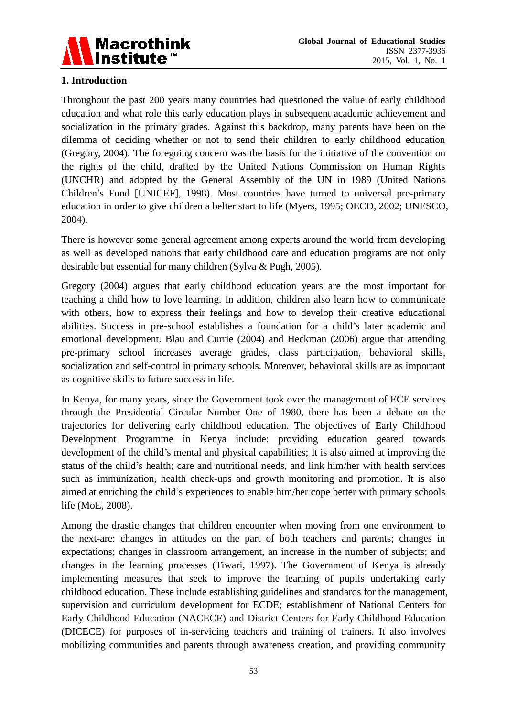

# **1. Introduction**

Throughout the past 200 years many countries had questioned the value of early childhood education and what role this early education plays in subsequent academic achievement and socialization in the primary grades. Against this backdrop, many parents have been on the dilemma of deciding whether or not to send their children to early childhood education (Gregory, 2004). The foregoing concern was the basis for the initiative of the convention on the rights of the child, drafted by the United Nations Commission on Human Rights (UNCHR) and adopted by the General Assembly of the UN in 1989 (United Nations Children's Fund [UNICEF], 1998). Most countries have turned to universal pre-primary education in order to give children a belter start to life (Myers, 1995; OECD, 2002; UNESCO, 2004).

There is however some general agreement among experts around the world from developing as well as developed nations that early childhood care and education programs are not only desirable but essential for many children (Sylva & Pugh, 2005).

Gregory (2004) argues that early childhood education years are the most important for teaching a child how to love learning. In addition, children also learn how to communicate with others, how to express their feelings and how to develop their creative educational abilities. Success in pre-school establishes a foundation for a child's later academic and emotional development. Blau and Currie (2004) and Heckman (2006) argue that attending pre-primary school increases average grades, class participation, behavioral skills, socialization and self-control in primary schools. Moreover, behavioral skills are as important as cognitive skills to future success in life.

In Kenya, for many years, since the Government took over the management of ECE services through the Presidential Circular Number One of 1980, there has been a debate on the trajectories for delivering early childhood education. The objectives of Early Childhood Development Programme in Kenya include: providing education geared towards development of the child's mental and physical capabilities; It is also aimed at improving the status of the child's health; care and nutritional needs, and link him/her with health services such as immunization, health check-ups and growth monitoring and promotion. It is also aimed at enriching the child's experiences to enable him/her cope better with primary schools life (MoE, 2008).

Among the drastic changes that children encounter when moving from one environment to the next-are: changes in attitudes on the part of both teachers and parents; changes in expectations; changes in classroom arrangement, an increase in the number of subjects; and changes in the learning processes (Tiwari, 1997). The Government of Kenya is already implementing measures that seek to improve the learning of pupils undertaking early childhood education. These include establishing guidelines and standards for the management, supervision and curriculum development for ECDE; establishment of National Centers for Early Childhood Education (NACECE) and District Centers for Early Childhood Education (DICECE) for purposes of in-servicing teachers and training of trainers. It also involves mobilizing communities and parents through awareness creation, and providing community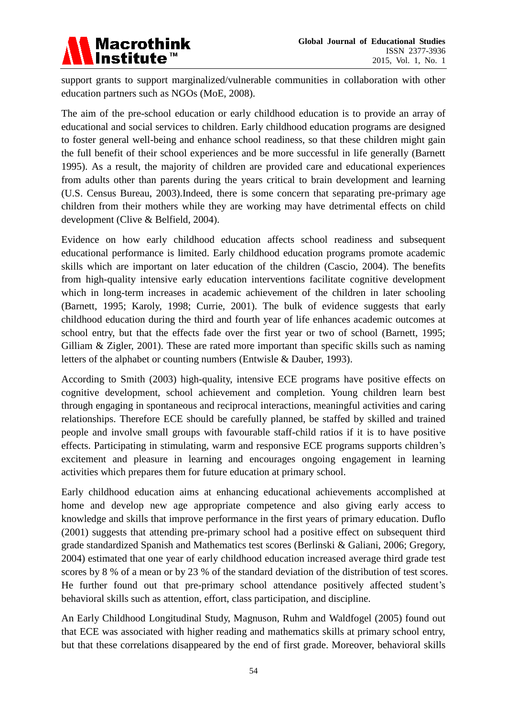

support grants to support marginalized/vulnerable communities in collaboration with other education partners such as NGOs (MoE, 2008).

The aim of the pre-school education or early childhood education is to provide an array of educational and social services to children. Early childhood education programs are designed to foster general well-being and enhance school readiness, so that these children might gain the full benefit of their school experiences and be more successful in life generally (Barnett 1995). As a result, the majority of children are provided care and educational experiences from adults other than parents during the years critical to brain development and learning (U.S. Census Bureau, 2003).Indeed, there is some concern that separating pre-primary age children from their mothers while they are working may have detrimental effects on child development (Clive & Belfield, 2004).

Evidence on how early childhood education affects school readiness and subsequent educational performance is limited. Early childhood education programs promote academic skills which are important on later education of the children (Cascio, 2004). The benefits from high-quality intensive early education interventions facilitate cognitive development which in long-term increases in academic achievement of the children in later schooling (Barnett, 1995; Karoly, 1998; Currie, 2001). The bulk of evidence suggests that early childhood education during the third and fourth year of life enhances academic outcomes at school entry, but that the effects fade over the first year or two of school (Barnett, 1995; Gilliam & Zigler, 2001). These are rated more important than specific skills such as naming letters of the alphabet or counting numbers (Entwisle & Dauber, 1993).

According to Smith (2003) high-quality, intensive ECE programs have positive effects on cognitive development, school achievement and completion. Young children learn best through engaging in spontaneous and reciprocal interactions, meaningful activities and caring relationships. Therefore ECE should be carefully planned, be staffed by skilled and trained people and involve small groups with favourable staff-child ratios if it is to have positive effects. Participating in stimulating, warm and responsive ECE programs supports children's excitement and pleasure in learning and encourages ongoing engagement in learning activities which prepares them for future education at primary school.

Early childhood education aims at enhancing educational achievements accomplished at home and develop new age appropriate competence and also giving early access to knowledge and skills that improve performance in the first years of primary education. Duflo (2001) suggests that attending pre-primary school had a positive effect on subsequent third grade standardized Spanish and Mathematics test scores (Berlinski & Galiani, 2006; Gregory, 2004) estimated that one year of early childhood education increased average third grade test scores by 8 % of a mean or by 23 % of the standard deviation of the distribution of test scores. He further found out that pre-primary school attendance positively affected student's behavioral skills such as attention, effort, class participation, and discipline.

An Early Childhood Longitudinal Study, Magnuson, Ruhm and Waldfogel (2005) found out that ECE was associated with higher reading and mathematics skills at primary school entry, but that these correlations disappeared by the end of first grade. Moreover, behavioral skills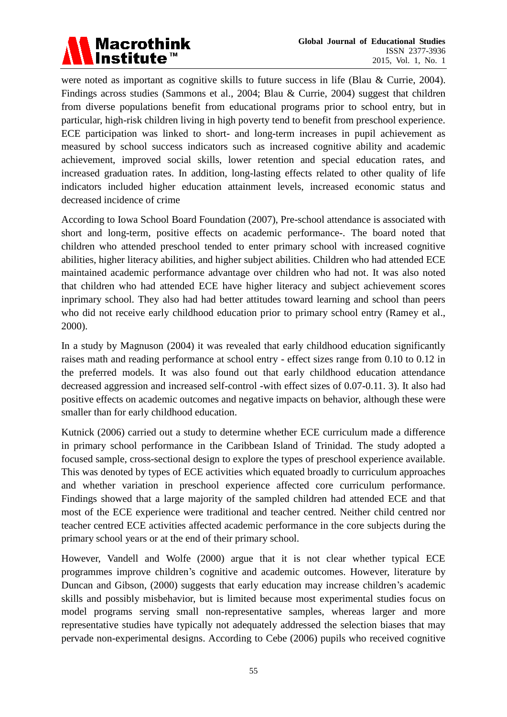

were noted as important as cognitive skills to future success in life (Blau & Currie, 2004). Findings across studies (Sammons et al., 2004; Blau & Currie, 2004) suggest that children from diverse populations benefit from educational programs prior to school entry, but in particular, high-risk children living in high poverty tend to benefit from preschool experience. ECE participation was linked to short- and long-term increases in pupil achievement as measured by school success indicators such as increased cognitive ability and academic achievement, improved social skills, lower retention and special education rates, and increased graduation rates. In addition, long-lasting effects related to other quality of life indicators included higher education attainment levels, increased economic status and decreased incidence of crime

According to Iowa School Board Foundation (2007), Pre-school attendance is associated with short and long-term, positive effects on academic performance-. The board noted that children who attended preschool tended to enter primary school with increased cognitive abilities, higher literacy abilities, and higher subject abilities. Children who had attended ECE maintained academic performance advantage over children who had not. It was also noted that children who had attended ECE have higher literacy and subject achievement scores inprimary school. They also had had better attitudes toward learning and school than peers who did not receive early childhood education prior to primary school entry (Ramey et al., 2000).

In a study by Magnuson (2004) it was revealed that early childhood education significantly raises math and reading performance at school entry - effect sizes range from 0.10 to 0.12 in the preferred models. It was also found out that early childhood education attendance decreased aggression and increased self-control -with effect sizes of 0.07-0.11. 3). It also had positive effects on academic outcomes and negative impacts on behavior, although these were smaller than for early childhood education.

Kutnick (2006) carried out a study to determine whether ECE curriculum made a difference in primary school performance in the Caribbean Island of Trinidad. The study adopted a focused sample, cross-sectional design to explore the types of preschool experience available. This was denoted by types of ECE activities which equated broadly to curriculum approaches and whether variation in preschool experience affected core curriculum performance. Findings showed that a large majority of the sampled children had attended ECE and that most of the ECE experience were traditional and teacher centred. Neither child centred nor teacher centred ECE activities affected academic performance in the core subjects during the primary school years or at the end of their primary school.

However, Vandell and Wolfe (2000) argue that it is not clear whether typical ECE programmes improve children's cognitive and academic outcomes. However, literature by Duncan and Gibson, (2000) suggests that early education may increase children's academic skills and possibly misbehavior, but is limited because most experimental studies focus on model programs serving small non-representative samples, whereas larger and more representative studies have typically not adequately addressed the selection biases that may pervade non-experimental designs. According to Cebe (2006) pupils who received cognitive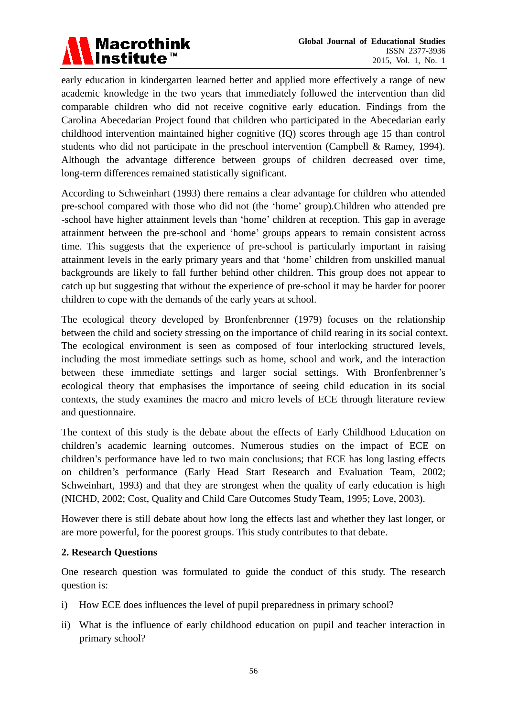

early education in kindergarten learned better and applied more effectively a range of new academic knowledge in the two years that immediately followed the intervention than did comparable children who did not receive cognitive early education. Findings from the Carolina Abecedarian Project found that children who participated in the Abecedarian early childhood intervention maintained higher cognitive (IQ) scores through age 15 than control students who did not participate in the preschool intervention (Campbell & Ramey, 1994). Although the advantage difference between groups of children decreased over time, long-term differences remained statistically significant.

According to Schweinhart (1993) there remains a clear advantage for children who attended pre-school compared with those who did not (the 'home' group).Children who attended pre -school have higher attainment levels than 'home' children at reception. This gap in average attainment between the pre-school and 'home' groups appears to remain consistent across time. This suggests that the experience of pre-school is particularly important in raising attainment levels in the early primary years and that 'home' children from unskilled manual backgrounds are likely to fall further behind other children. This group does not appear to catch up but suggesting that without the experience of pre-school it may be harder for poorer children to cope with the demands of the early years at school.

The ecological theory developed by Bronfenbrenner (1979) focuses on the relationship between the child and society stressing on the importance of child rearing in its social context. The ecological environment is seen as composed of four interlocking structured levels, including the most immediate settings such as home, school and work, and the interaction between these immediate settings and larger social settings. With Bronfenbrenner's ecological theory that emphasises the importance of seeing child education in its social contexts, the study examines the macro and micro levels of ECE through literature review and questionnaire.

The context of this study is the debate about the effects of Early Childhood Education on children's academic learning outcomes. Numerous studies on the impact of ECE on children's performance have led to two main conclusions; that ECE has long lasting effects on children's performance (Early Head Start Research and Evaluation Team, 2002; Schweinhart, 1993) and that they are strongest when the quality of early education is high (NICHD, 2002; Cost, Quality and Child Care Outcomes Study Team, 1995; Love, 2003).

However there is still debate about how long the effects last and whether they last longer, or are more powerful, for the poorest groups. This study contributes to that debate.

## **2. Research Questions**

One research question was formulated to guide the conduct of this study. The research question is:

- i) How ECE does influences the level of pupil preparedness in primary school?
- ii) What is the influence of early childhood education on pupil and teacher interaction in primary school?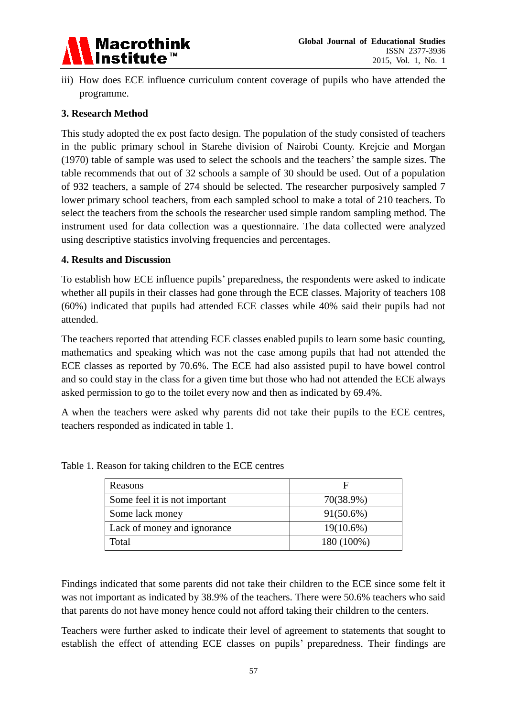

iii) How does ECE influence curriculum content coverage of pupils who have attended the programme.

#### **3. Research Method**

This study adopted the ex post facto design. The population of the study consisted of teachers in the public primary school in Starehe division of Nairobi County. Krejcie and Morgan (1970) table of sample was used to select the schools and the teachers' the sample sizes. The table recommends that out of 32 schools a sample of 30 should be used. Out of a population of 932 teachers, a sample of 274 should be selected. The researcher purposively sampled 7 lower primary school teachers, from each sampled school to make a total of 210 teachers. To select the teachers from the schools the researcher used simple random sampling method. The instrument used for data collection was a questionnaire. The data collected were analyzed using descriptive statistics involving frequencies and percentages.

#### **4. Results and Discussion**

To establish how ECE influence pupils' preparedness, the respondents were asked to indicate whether all pupils in their classes had gone through the ECE classes. Majority of teachers 108 (60%) indicated that pupils had attended ECE classes while 40% said their pupils had not attended.

The teachers reported that attending ECE classes enabled pupils to learn some basic counting, mathematics and speaking which was not the case among pupils that had not attended the ECE classes as reported by 70.6%. The ECE had also assisted pupil to have bowel control and so could stay in the class for a given time but those who had not attended the ECE always asked permission to go to the toilet every now and then as indicated by 69.4%.

A when the teachers were asked why parents did not take their pupils to the ECE centres, teachers responded as indicated in table 1.

| Reasons                       |              |
|-------------------------------|--------------|
| Some feel it is not important | 70(38.9%)    |
| Some lack money               | $91(50.6\%)$ |
| Lack of money and ignorance   | $19(10.6\%)$ |
| Total                         | 180 (100%)   |

Table 1. Reason for taking children to the ECE centres

Findings indicated that some parents did not take their children to the ECE since some felt it was not important as indicated by 38.9% of the teachers. There were 50.6% teachers who said that parents do not have money hence could not afford taking their children to the centers.

Teachers were further asked to indicate their level of agreement to statements that sought to establish the effect of attending ECE classes on pupils' preparedness. Their findings are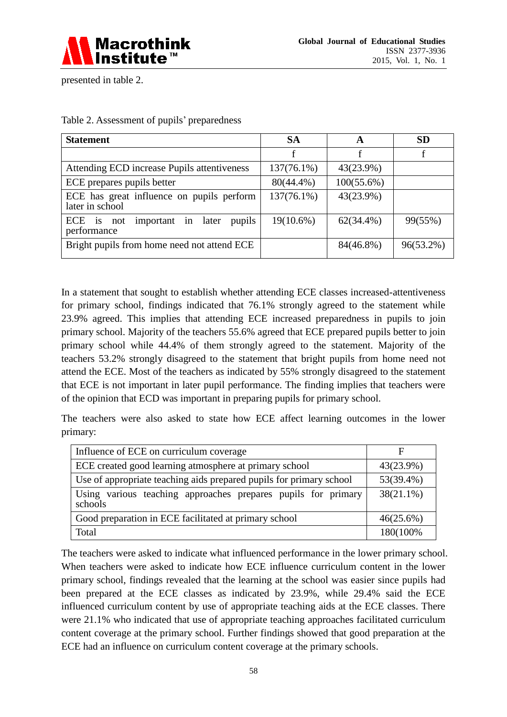

presented in table 2.

| <b>Statement</b>                                             | <b>SA</b>     | A             | <b>SD</b> |
|--------------------------------------------------------------|---------------|---------------|-----------|
|                                                              |               |               |           |
| Attending ECD increase Pupils attentiveness                  | 137(76.1%)    | 43(23.9%)     |           |
| ECE prepares pupils better                                   | 80(44.4%)     | $100(55.6\%)$ |           |
| ECE has great influence on pupils perform<br>later in school | $137(76.1\%)$ | 43(23.9%)     |           |
| ECE is not important in later<br>pupils<br>performance       | $19(10.6\%)$  | $62(34.4\%)$  | 99(55%)   |
| Bright pupils from home need not attend ECE                  |               | 84(46.8%)     | 96(53.2%) |

Table 2. Assessment of pupils' preparedness

In a statement that sought to establish whether attending ECE classes increased-attentiveness for primary school, findings indicated that 76.1% strongly agreed to the statement while 23.9% agreed. This implies that attending ECE increased preparedness in pupils to join primary school. Majority of the teachers 55.6% agreed that ECE prepared pupils better to join primary school while 44.4% of them strongly agreed to the statement. Majority of the teachers 53.2% strongly disagreed to the statement that bright pupils from home need not attend the ECE. Most of the teachers as indicated by 55% strongly disagreed to the statement that ECE is not important in later pupil performance. The finding implies that teachers were of the opinion that ECD was important in preparing pupils for primary school.

The teachers were also asked to state how ECE affect learning outcomes in the lower primary:

| Influence of ECE on curriculum coverage                                  | F            |
|--------------------------------------------------------------------------|--------------|
| ECE created good learning atmosphere at primary school                   | 43(23.9%)    |
| Use of appropriate teaching aids prepared pupils for primary school      | 53(39.4%)    |
| Using various teaching approaches prepares pupils for primary<br>schools | $38(21.1\%)$ |
| Good preparation in ECE facilitated at primary school                    | 46(25.6%)    |
| Total                                                                    | 180(100%     |

The teachers were asked to indicate what influenced performance in the lower primary school. When teachers were asked to indicate how ECE influence curriculum content in the lower primary school, findings revealed that the learning at the school was easier since pupils had been prepared at the ECE classes as indicated by 23.9%, while 29.4% said the ECE influenced curriculum content by use of appropriate teaching aids at the ECE classes. There were 21.1% who indicated that use of appropriate teaching approaches facilitated curriculum content coverage at the primary school. Further findings showed that good preparation at the ECE had an influence on curriculum content coverage at the primary schools.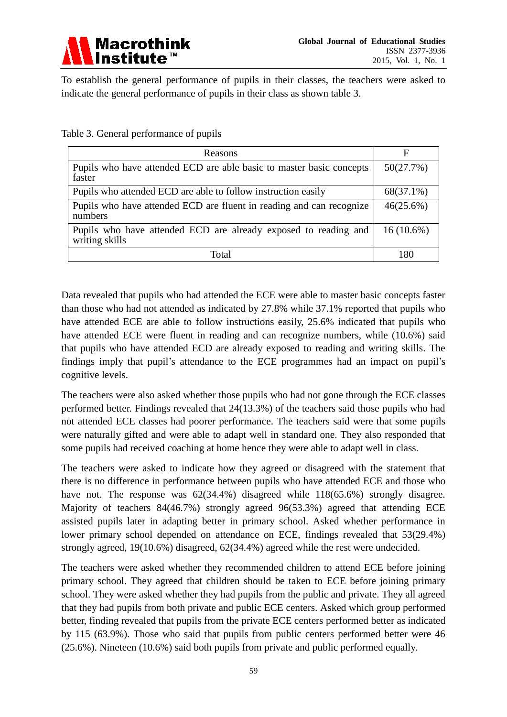

To establish the general performance of pupils in their classes, the teachers were asked to indicate the general performance of pupils in their class as shown table 3.

|  | Table 3. General performance of pupils |  |
|--|----------------------------------------|--|
|  |                                        |  |

| <b>Reasons</b>                                                                    | F            |
|-----------------------------------------------------------------------------------|--------------|
| Pupils who have attended ECD are able basic to master basic concepts<br>faster    | 50(27.7%)    |
| Pupils who attended ECD are able to follow instruction easily                     | 68(37.1%)    |
| Pupils who have attended ECD are fluent in reading and can recognize<br>numbers   | 46(25.6%)    |
| Pupils who have attended ECD are already exposed to reading and<br>writing skills | $16(10.6\%)$ |
| Total                                                                             | 180          |

Data revealed that pupils who had attended the ECE were able to master basic concepts faster than those who had not attended as indicated by 27.8% while 37.1% reported that pupils who have attended ECE are able to follow instructions easily, 25.6% indicated that pupils who have attended ECE were fluent in reading and can recognize numbers, while (10.6%) said that pupils who have attended ECD are already exposed to reading and writing skills. The findings imply that pupil's attendance to the ECE programmes had an impact on pupil's cognitive levels.

The teachers were also asked whether those pupils who had not gone through the ECE classes performed better. Findings revealed that 24(13.3%) of the teachers said those pupils who had not attended ECE classes had poorer performance. The teachers said were that some pupils were naturally gifted and were able to adapt well in standard one. They also responded that some pupils had received coaching at home hence they were able to adapt well in class.

The teachers were asked to indicate how they agreed or disagreed with the statement that there is no difference in performance between pupils who have attended ECE and those who have not. The response was  $62(34.4%)$  disagreed while  $118(65.6%)$  strongly disagree. Majority of teachers 84(46.7%) strongly agreed 96(53.3%) agreed that attending ECE assisted pupils later in adapting better in primary school. Asked whether performance in lower primary school depended on attendance on ECE, findings revealed that 53(29.4%) strongly agreed, 19(10.6%) disagreed, 62(34.4%) agreed while the rest were undecided.

The teachers were asked whether they recommended children to attend ECE before joining primary school. They agreed that children should be taken to ECE before joining primary school. They were asked whether they had pupils from the public and private. They all agreed that they had pupils from both private and public ECE centers. Asked which group performed better, finding revealed that pupils from the private ECE centers performed better as indicated by 115 (63.9%). Those who said that pupils from public centers performed better were 46 (25.6%). Nineteen (10.6%) said both pupils from private and public performed equally.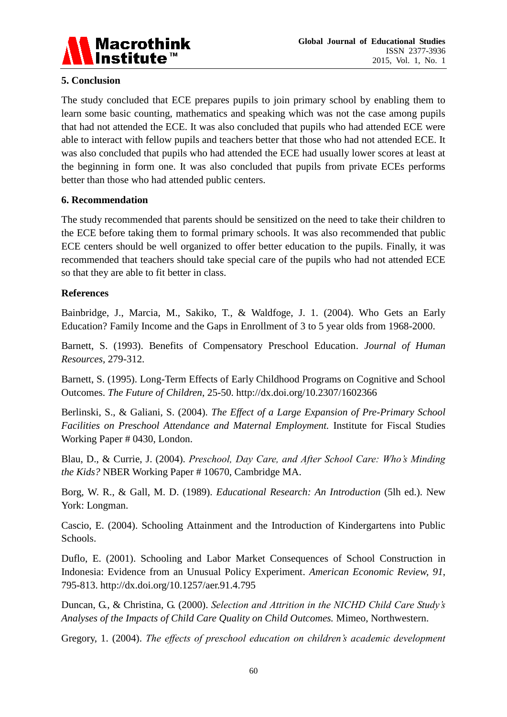

# **5. Conclusion**

The study concluded that ECE prepares pupils to join primary school by enabling them to learn some basic counting, mathematics and speaking which was not the case among pupils that had not attended the ECE. It was also concluded that pupils who had attended ECE were able to interact with fellow pupils and teachers better that those who had not attended ECE. It was also concluded that pupils who had attended the ECE had usually lower scores at least at the beginning in form one. It was also concluded that pupils from private ECEs performs better than those who had attended public centers.

#### **6. Recommendation**

The study recommended that parents should be sensitized on the need to take their children to the ECE before taking them to formal primary schools. It was also recommended that public ECE centers should be well organized to offer better education to the pupils. Finally, it was recommended that teachers should take special care of the pupils who had not attended ECE so that they are able to fit better in class.

#### **References**

Bainbridge, J., Marcia, M., Sakiko, T., & Waldfoge, J. 1. (2004). Who Gets an Early Education? Family Income and the Gaps in Enrollment of 3 to 5 year olds from 1968-2000.

Barnett, S. (1993). Benefits of Compensatory Preschool Education. *Journal of Human Resources,* 279-312.

Barnett, S. (1995). Long-Term Effects of Early Childhood Programs on Cognitive and School Outcomes. *The Future of Children*, 25-50. http://dx.doi.org/10.2307/1602366

Berlinski, S., & Galiani, S. (2004). *The Effect of a Large Expansion of Pre-Primary School Facilities on Preschool Attendance and Maternal Employment.* Institute for Fiscal Studies Working Paper # 0430, London.

Blau, D., & Currie, J. (2004). *Preschool, Day Care, and After School Care: Who's Minding the Kids?* NBER Working Paper # 10670, Cambridge MA.

Borg, W. R., & Gall, M. D. (1989). *Educational Research: An Introduction* (5lh ed.). New York: Longman.

Cascio, E. (2004). Schooling Attainment and the Introduction of Kindergartens into Public Schools.

Duflo, E. (2001). Schooling and Labor Market Consequences of School Construction in Indonesia: Evidence from an Unusual Policy Experiment. *American Economic Review, 91*, 795-813. http://dx.doi.org/10.1257/aer.91.4.795

Duncan, G., & Christina, G. (2000). *Selection and Attrition in the NICHD Child Care Study's Analyses of the Impacts of Child Care Quality on Child Outcomes.* Mimeo, Northwestern.

Gregory, 1. (2004). *The effects of preschool education on children's academic development*